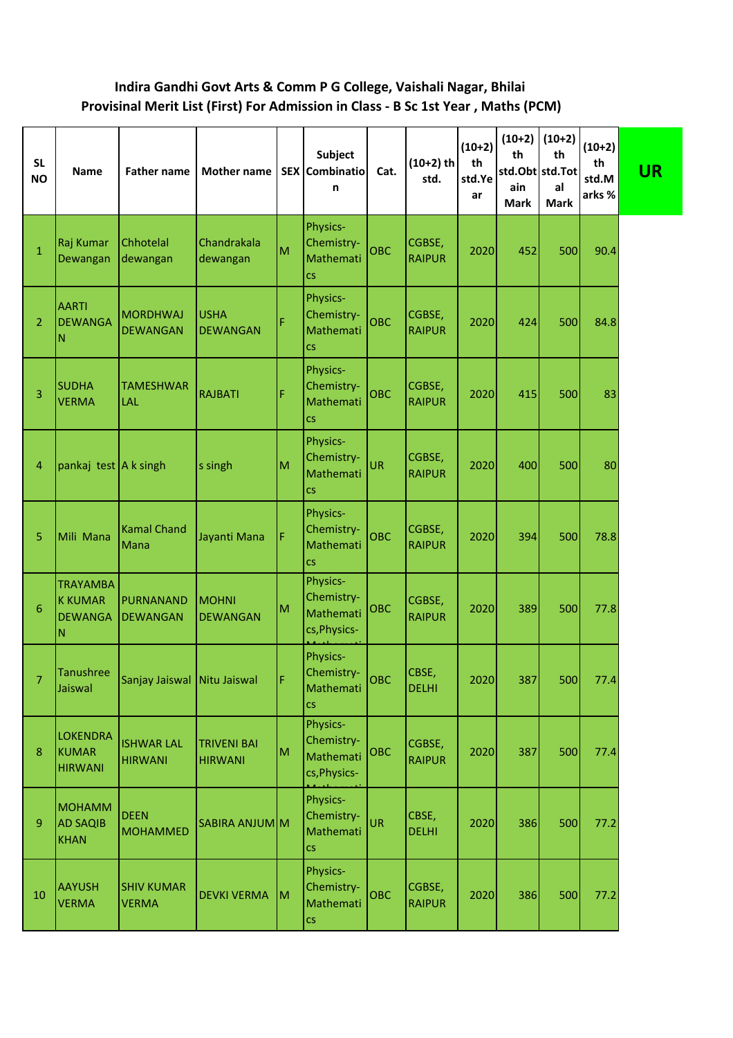## **Indira Gandhi Govt Arts & Comm P G College, Vaishali Nagar, Bhilai Provisinal Merit List (First) For Admission in Class - B Sc 1st Year , Maths (PCM)**

| <b>SL</b><br><b>NO</b> | <b>Name</b>                                              | <b>Father name</b>                  | <b>Mother name</b>                   |    | <b>Subject</b><br>SEX Combinatio<br>n                           | Cat.       | $(10+2)$ th<br>std.     | $(10+2)$<br>th<br>std.Ye<br>ar | $(10+2)$<br>th<br>std.Obt std.Tot<br>ain<br><b>Mark</b> | $(10+2)$<br>th<br>al<br><b>Mark</b> | $(10+2)$<br>th<br>std.M<br>arks % | <b>UR</b> |
|------------------------|----------------------------------------------------------|-------------------------------------|--------------------------------------|----|-----------------------------------------------------------------|------------|-------------------------|--------------------------------|---------------------------------------------------------|-------------------------------------|-----------------------------------|-----------|
| $\mathbf{1}$           | Raj Kumar<br>Dewangan                                    | Chhotelal<br>dewangan               | Chandrakala<br>dewangan              | M  | Physics-<br>Chemistry-<br>Mathemati<br><b>CS</b>                | <b>OBC</b> | CGBSE,<br><b>RAIPUR</b> | 2020                           | 452                                                     | 500                                 | 90.4                              |           |
| 2                      | <b>AARTI</b><br><b>DEWANGA</b><br>N                      | <b>MORDHWAJ</b><br><b>DEWANGAN</b>  | <b>USHA</b><br><b>DEWANGAN</b>       | Ë  | Physics-<br>Chemistry-<br>Mathemati<br>$\mathsf{CS}\phantom{0}$ | OBC        | CGBSE,<br><b>RAIPUR</b> | 2020                           | 424                                                     | 500                                 | 84.8                              |           |
| 3                      | <b>SUDHA</b><br><b>VERMA</b>                             | <b>TAMESHWAR</b><br><b>LAL</b>      | <b>RAJBATI</b>                       | F  | Physics-<br>Chemistry-<br>Mathemati<br>$\mathsf{CS}\xspace$     | <b>OBC</b> | CGBSE,<br><b>RAIPUR</b> | 2020                           | 415                                                     | 500                                 | 83                                |           |
| 4                      | pankaj test A k singh                                    |                                     | s singh                              | M  | Physics-<br>Chemistry-<br>Mathemati<br><b>CS</b>                | <b>UR</b>  | CGBSE,<br><b>RAIPUR</b> | 2020                           | 400                                                     | 500                                 | 80                                |           |
| 5                      | Mili Mana                                                | <b>Kamal Chand</b><br>Mana          | Jayanti Mana                         | F  | Physics-<br>Chemistry-<br>Mathemati<br><b>CS</b>                | <b>OBC</b> | CGBSE,<br><b>RAIPUR</b> | 2020                           | 394                                                     | 500                                 | 78.8                              |           |
| 6                      | <b>TRAYAMBA</b><br><b>K KUMAR</b><br><b>DEWANGA</b><br>Ν | PURNANAND<br><b>DEWANGAN</b>        | <b>MOHNI</b><br><b>DEWANGAN</b>      | M  | Physics-<br>Chemistry-<br>Mathemati<br>cs, Physics-             | <b>OBC</b> | CGBSE,<br><b>RAIPUR</b> | 2020                           | 389                                                     | 500                                 | 77.8                              |           |
| 7                      | Tanushree<br>Jaiswal                                     | Sanjay Jaiswal   Nitu Jaiswal       |                                      | F  | Physics-<br>Chemistry-<br>Mathemati<br><b>CS</b>                | овс        | CBSE,<br><b>DELHI</b>   | 2020                           | 387                                                     | 500                                 | 77.4                              |           |
| 8                      | <b>LOKENDRA</b><br><b>KUMAR</b><br><b>HIRWANI</b>        | <b>ISHWAR LAL</b><br><b>HIRWANI</b> | <b>TRIVENI BAI</b><br><b>HIRWANI</b> | M  | Physics-<br>Chemistry-<br>Mathemati<br>cs, Physics-             | OBC        | CGBSE,<br><b>RAIPUR</b> | 2020                           | 387                                                     | 500                                 | 77.4                              |           |
| 9                      | <b>MOHAMM</b><br><b>AD SAQIB</b><br><b>KHAN</b>          | <b>DEEN</b><br><b>MOHAMMED</b>      | SABIRA ANJUM M                       |    | Physics-<br>Chemistry-<br>Mathemati<br>$\overline{\text{cs}}$   | UR         | CBSE,<br><b>DELHI</b>   | 2020                           | 386                                                     | 500                                 | 77.2                              |           |
| 10                     | <b>AAYUSH</b><br><b>VERMA</b>                            | <b>SHIV KUMAR</b><br><b>VERMA</b>   | <b>DEVKI VERMA</b>                   | İм | Physics-<br>Chemistry-<br>Mathemati<br><b>CS</b>                | OBC        | CGBSE,<br><b>RAIPUR</b> | 2020                           | 386                                                     | 500                                 | 77.2                              |           |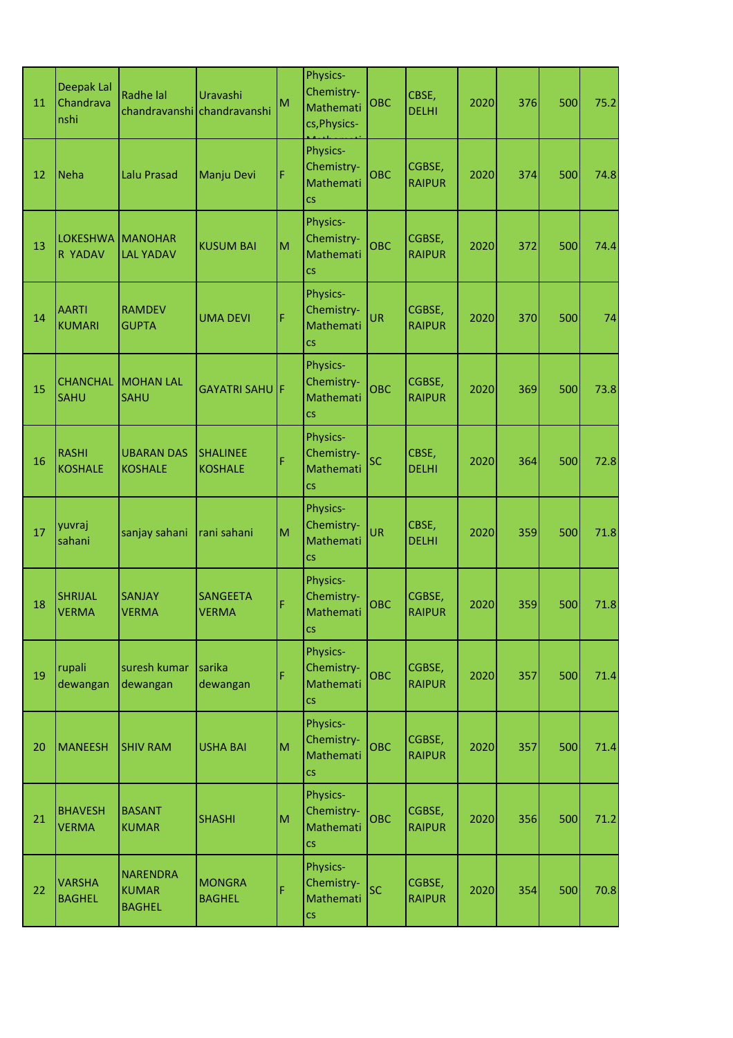| 11 | Deepak Lal<br>Chandrava<br>nshi | Radhe lal                                 | Uravashi<br>chandravanshi chandravanshi | M | Physics-<br>Chemistry-<br>Mathemati<br>cs, Physics-           | OBC        | CBSE,<br><b>DELHI</b>   | 2020 | 376 | 500 | 75.2 |
|----|---------------------------------|-------------------------------------------|-----------------------------------------|---|---------------------------------------------------------------|------------|-------------------------|------|-----|-----|------|
| 12 | Neha                            | <b>Lalu Prasad</b>                        | Manju Devi                              | F | Physics-<br>Chemistry-<br>Mathemati<br>$\overline{\text{CS}}$ | <b>OBC</b> | CGBSE,<br><b>RAIPUR</b> | 2020 | 374 | 500 | 74.8 |
| 13 | <b>LOKESHWA</b><br>R YADAV      | <b>MANOHAR</b><br><b>LAL YADAV</b>        | <b>KUSUM BAI</b>                        | M | Physics-<br>Chemistry-<br>Mathemati<br><b>CS</b>              | <b>OBC</b> | CGBSE,<br><b>RAIPUR</b> | 2020 | 372 | 500 | 74.4 |
| 14 | <b>AARTI</b><br><b>KUMARI</b>   | <b>RAMDEV</b><br><b>GUPTA</b>             | <b>UMA DEVI</b>                         | Ë | Physics-<br>Chemistry-<br>Mathemati<br>CS                     | UR         | CGBSE,<br><b>RAIPUR</b> | 2020 | 370 | 500 | 74   |
| 15 | <b>CHANCHAL</b><br><b>SAHU</b>  | <b>MOHAN LAL</b><br><b>SAHU</b>           | <b>GAYATRI SAHULF</b>                   |   | Physics-<br>Chemistry-<br>Mathemati<br>CS                     | <b>OBC</b> | CGBSE,<br><b>RAIPUR</b> | 2020 | 369 | 500 | 73.8 |
| 16 | <b>RASHI</b><br><b>KOSHALE</b>  | <b>UBARAN DAS</b><br><b>KOSHALE</b>       | <b>SHALINEE</b><br><b>KOSHALE</b>       | Ë | Physics-<br>Chemistry-<br>Mathemati<br><b>CS</b>              | SC         | CBSE,<br><b>DELHI</b>   | 2020 | 364 | 500 | 72.8 |
| 17 | yuvraj<br>sahani                | sanjay sahani                             | rani sahani                             | M | Physics-<br>Chemistry-<br>Mathemati<br>CS                     | UR         | CBSE,<br><b>DELHI</b>   | 2020 | 359 | 500 | 71.8 |
| 18 | <b>SHRIJAL</b><br><b>VERMA</b>  | <b>SANJAY</b><br><b>VERMA</b>             | <b>SANGEETA</b><br><b>VERMA</b>         | Ë | Physics-<br>Chemistry-<br>Mathemati<br><b>CS</b>              | <b>OBC</b> | CGBSE,<br><b>RAIPUR</b> | 2020 | 359 | 500 | 71.8 |
| 19 | rupali<br>dewangan              | suresh kumar<br>dewangan                  | sarika<br>dewangan                      | Ë | Physics-<br>Chemistry-<br>Mathemati<br>$\overline{\text{CS}}$ | <b>OBC</b> | CGBSE,<br><b>RAIPUR</b> | 2020 | 357 | 500 | 71.4 |
| 20 | <b>MANEESH</b>                  | <b>SHIV RAM</b>                           | <b>USHA BAI</b>                         | M | Physics-<br>Chemistry-<br>Mathemati<br>CS.                    | OBC        | CGBSE,<br><b>RAIPUR</b> | 2020 | 357 | 500 | 71.4 |
| 21 | <b>BHAVESH</b><br><b>VERMA</b>  | <b>BASANT</b><br><b>KUMAR</b>             | <b>SHASHI</b>                           | M | Physics-<br>Chemistry-<br>Mathemati<br><b>CS</b>              | <b>OBC</b> | CGBSE,<br><b>RAIPUR</b> | 2020 | 356 | 500 | 71.2 |
| 22 | <b>VARSHA</b><br><b>BAGHEL</b>  | <b>NARENDRA</b><br>KUMAR<br><b>BAGHEL</b> | <b>MONGRA</b><br><b>BAGHEL</b>          | F | Physics-<br>Chemistry-<br>Mathemati<br>CS                     | SC         | CGBSE,<br><b>RAIPUR</b> | 2020 | 354 | 500 | 70.8 |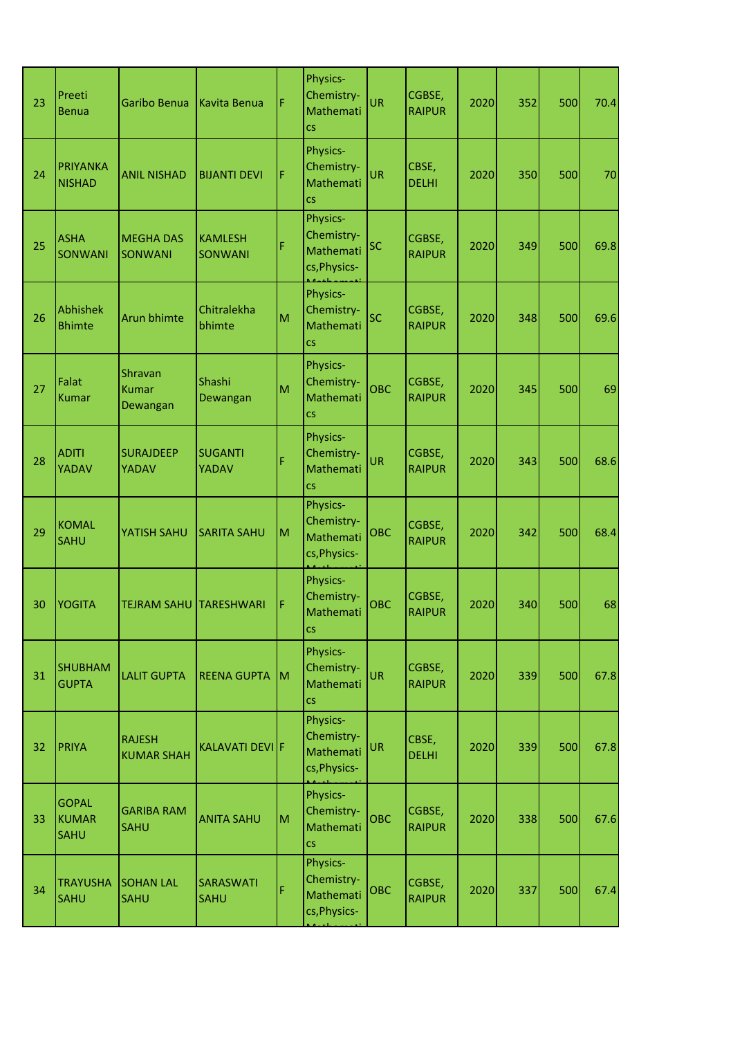| 23 | Preeti<br><b>Benua</b>                      | Garibo Benua                        | Kavita Benua                     | F | Physics-<br>Chemistry-<br>Mathemati<br><b>CS</b>                | UR         | CGBSE,<br><b>RAIPUR</b> | 2020 | 352 | 500 | 70.4 |
|----|---------------------------------------------|-------------------------------------|----------------------------------|---|-----------------------------------------------------------------|------------|-------------------------|------|-----|-----|------|
| 24 | <b>PRIYANKA</b><br><b>NISHAD</b>            | <b>ANIL NISHAD</b>                  | <b>BIJANTI DEVI</b>              | F | Physics-<br>Chemistry-<br>Mathemati<br><b>CS</b>                | UR         | CBSE,<br><b>DELHI</b>   | 2020 | 350 | 500 | 70   |
| 25 | <b>ASHA</b><br><b>SONWANI</b>               | <b>MEGHA DAS</b><br><b>SONWANI</b>  | <b>KAMLESH</b><br><b>SONWANI</b> | F | Physics-<br>Chemistry-<br>Mathemati<br>cs, Physics-             | SC         | CGBSE,<br><b>RAIPUR</b> | 2020 | 349 | 500 | 69.8 |
| 26 | <b>Abhishek</b><br><b>Bhimte</b>            | Arun bhimte                         | Chitralekha<br>bhimte            | M | Physics-<br>Chemistry-<br>Mathemati<br>CS                       | SC         | CGBSE,<br><b>RAIPUR</b> | 2020 | 348 | 500 | 69.6 |
| 27 | Falat<br><b>Kumar</b>                       | Shravan<br><b>Kumar</b><br>Dewangan | Shashi<br>Dewangan               | M | Physics-<br>Chemistry-<br>Mathemati<br><b>CS</b>                | <b>OBC</b> | CGBSE,<br><b>RAIPUR</b> | 2020 | 345 | 500 | 69   |
| 28 | <b>ADITI</b><br>YADAV                       | <b>SURAJDEEP</b><br>YADAV           | <b>SUGANTI</b><br>YADAV          | Ë | Physics-<br>Chemistry-<br>Mathemati<br><b>CS</b>                | UR         | CGBSE,<br><b>RAIPUR</b> | 2020 | 343 | 500 | 68.6 |
| 29 | <b>KOMAL</b><br><b>SAHU</b>                 | YATISH SAHU                         | <b>SARITA SAHU</b>               | M | Physics-<br>Chemistry-<br>Mathemati<br>cs, Physics-             | <b>OBC</b> | CGBSE,<br><b>RAIPUR</b> | 2020 | 342 | 500 | 68.4 |
| 30 | <b>YOGITA</b>                               | <b>TEJRAM SAHU</b>                  | <b>TARESHWARI</b>                | F | Physics-<br>Chemistry-<br>Mathemati<br>$\overline{\text{cs}}$   | <b>OBC</b> | CGBSE,<br><b>RAIPUR</b> | 2020 | 340 | 500 | 68   |
| 31 | <b>SHUBHAM</b><br><b>GUPTA</b>              | <b>LALIT GUPTA</b>                  | REENA GUPTA M                    |   | Physics-<br>Chemistry-<br>Mathemati<br><b>CS</b>                | UR         | CGBSE,<br><b>RAIPUR</b> | 2020 | 339 | 500 | 67.8 |
| 32 | <b>PRIYA</b>                                | <b>RAJESH</b><br><b>KUMAR SHAH</b>  | KALAVATI DEVI F                  |   | Physics-<br>Chemistry-<br>Mathemati<br>cs, Physics-             | UR         | CBSE,<br><b>DELHI</b>   | 2020 | 339 | 500 | 67.8 |
| 33 | <b>GOPAL</b><br><b>KUMAR</b><br><b>SAHU</b> | <b>GARIBA RAM</b><br><b>SAHU</b>    | <b>ANITA SAHU</b>                | M | Physics-<br>Chemistry-<br>Mathemati<br>$\mathsf{CS}\phantom{0}$ | <b>OBC</b> | CGBSE,<br><b>RAIPUR</b> | 2020 | 338 | 500 | 67.6 |
| 34 | <b>TRAYUSHA</b><br><b>SAHU</b>              | <b>SOHAN LAL</b><br><b>SAHU</b>     | <b>SARASWATI</b><br><b>SAHU</b>  | F | Physics-<br>Chemistry-<br>Mathemati<br>cs, Physics-             | <b>OBC</b> | CGBSE,<br><b>RAIPUR</b> | 2020 | 337 | 500 | 67.4 |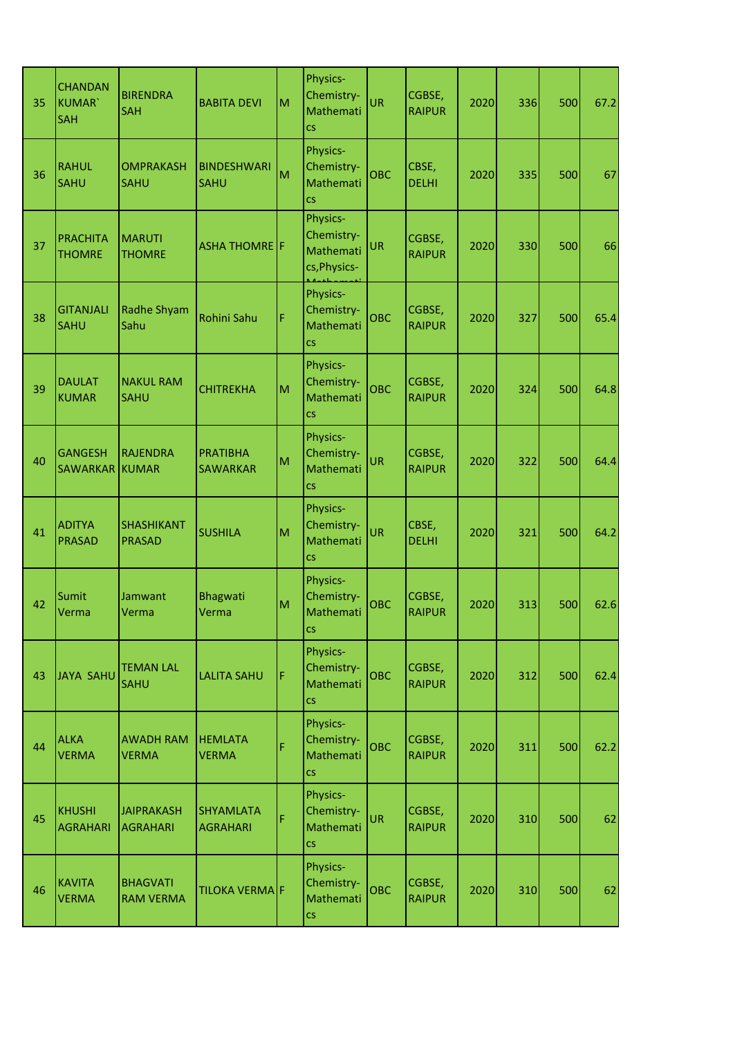| 35 | <b>CHANDAN</b><br><b>KUMAR</b><br><b>SAH</b> | <b>BIRENDRA</b><br><b>SAH</b>        | <b>BABITA DEVI</b>                  | M | Physics-<br>Chemistry-<br>Mathemati<br><b>CS</b>                | UR         | CGBSE,<br><b>RAIPUR</b> | 2020 | 336 | 500 | 67.2 |
|----|----------------------------------------------|--------------------------------------|-------------------------------------|---|-----------------------------------------------------------------|------------|-------------------------|------|-----|-----|------|
| 36 | <b>RAHUL</b><br><b>SAHU</b>                  | <b>OMPRAKASH</b><br><b>SAHU</b>      | <b>BINDESHWARI</b><br><b>SAHU</b>   | M | Physics-<br>Chemistry-<br>Mathemati<br>CS                       | <b>OBC</b> | CBSE,<br><b>DELHI</b>   | 2020 | 335 | 500 | 67   |
| 37 | <b>PRACHITA</b><br><b>THOMRE</b>             | <b>MARUTI</b><br><b>THOMRE</b>       | <b>ASHA THOMRE</b> F                |   | <b>Physics-</b><br>Chemistry-<br>Mathemati<br>cs, Physics-      | <b>UR</b>  | CGBSE,<br><b>RAIPUR</b> | 2020 | 330 | 500 | 66   |
| 38 | <b>GITANJALI</b><br><b>SAHU</b>              | <b>Radhe Shyam</b><br>Sahu           | <b>Rohini Sahu</b>                  | Ë | Physics-<br>Chemistry-<br>Mathemati<br><b>CS</b>                | <b>OBC</b> | CGBSE,<br><b>RAIPUR</b> | 2020 | 327 | 500 | 65.4 |
| 39 | <b>DAULAT</b><br><b>KUMAR</b>                | <b>NAKUL RAM</b><br><b>SAHU</b>      | <b>CHITREKHA</b>                    | M | Physics-<br>Chemistry-<br>Mathemati<br>CS                       | <b>OBC</b> | CGBSE,<br><b>RAIPUR</b> | 2020 | 324 | 500 | 64.8 |
| 40 | <b>GANGESH</b><br><b>SAWARKAR</b>            | <b>RAJENDRA</b><br><b>KUMAR</b>      | <b>PRATIBHA</b><br><b>SAWARKAR</b>  | M | Physics-<br>Chemistry-<br>Mathemati<br><b>CS</b>                | UR         | CGBSE,<br><b>RAIPUR</b> | 2020 | 322 | 500 | 64.4 |
| 41 | <b>ADITYA</b><br><b>PRASAD</b>               | <b>SHASHIKANT</b><br><b>PRASAD</b>   | <b>SUSHILA</b>                      | M | Physics-<br>Chemistry-<br>Mathemati<br>CS                       | UR         | CBSE,<br><b>DELHI</b>   | 2020 | 321 | 500 | 64.2 |
| 42 | Sumit<br>Verma                               | Jamwant<br>Verma                     | Bhagwati<br>Verma                   | M | Physics-<br>Chemistry-<br>Mathemati<br>$\overline{\text{cs}}$   | <b>OBC</b> | CGBSE,<br><b>RAIPUR</b> | 2020 | 313 | 500 | 62.6 |
| 43 | JAYA SAHU                                    | <b>TEMAN LAL</b><br><b>SAHU</b>      | <b>LALITA SAHU</b>                  | F | Physics-<br>Chemistry-<br>Mathemati<br>$\mathsf{CS}\phantom{0}$ | <b>OBC</b> | CGBSE,<br><b>RAIPUR</b> | 2020 | 312 | 500 | 62.4 |
| 44 | <b>ALKA</b><br><b>VERMA</b>                  | <b>AWADH RAM</b><br><b>VERMA</b>     | <b>HEMLATA</b><br><b>VERMA</b>      | Ë | Physics-<br>Chemistry-<br>Mathemati<br>CS.                      | <b>OBC</b> | CGBSE,<br><b>RAIPUR</b> | 2020 | 311 | 500 | 62.2 |
| 45 | <b>KHUSHI</b><br><b>AGRAHARI</b>             | <b>JAIPRAKASH</b><br><b>AGRAHARI</b> | <b>SHYAMLATA</b><br><b>AGRAHARI</b> | Ë | Physics-<br>Chemistry-<br>Mathemati<br>$\mathsf{CS}\phantom{0}$ | <b>UR</b>  | CGBSE,<br><b>RAIPUR</b> | 2020 | 310 | 500 | 62   |
| 46 | <b>KAVITA</b><br><b>VERMA</b>                | <b>BHAGVATI</b><br><b>RAM VERMA</b>  | TILOKA VERMA F                      |   | Physics-<br>Chemistry-<br>Mathemati<br>CS                       | <b>OBC</b> | CGBSE,<br><b>RAIPUR</b> | 2020 | 310 | 500 | 62   |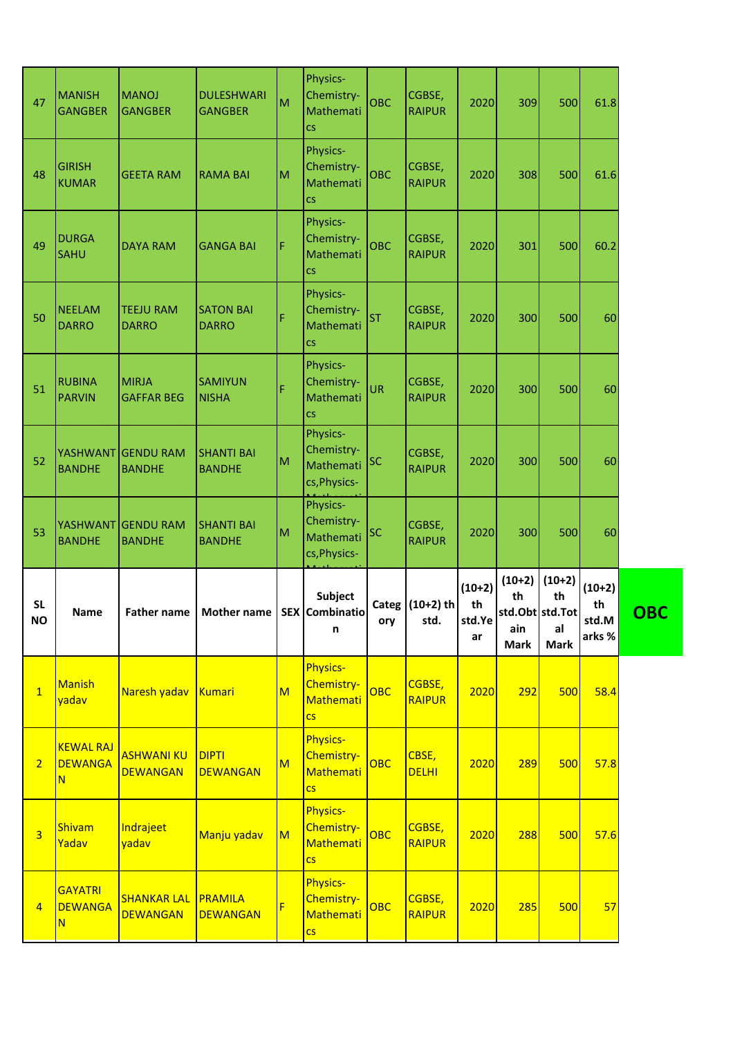| 47               | <b>MANISH</b><br><b>GANGBER</b>         | <b>MANOJ</b><br><b>GANGBER</b>       | <b>DULESHWARI</b><br><b>GANGBER</b>          | M                       | Physics-<br>Chemistry-<br>Mathemati<br><b>CS</b>                | <b>OBC</b> | CGBSE,<br><b>RAIPUR</b>   | 2020                           | 309                                                     | 500                                 | 61.8                              |            |
|------------------|-----------------------------------------|--------------------------------------|----------------------------------------------|-------------------------|-----------------------------------------------------------------|------------|---------------------------|--------------------------------|---------------------------------------------------------|-------------------------------------|-----------------------------------|------------|
| 48               | <b>GIRISH</b><br><b>KUMAR</b>           | <b>GEETA RAM</b>                     | <b>RAMA BAI</b>                              | M                       | Physics-<br>Chemistry-<br>Mathemati<br>$\mathsf{CS}\phantom{0}$ | OBC        | CGBSE,<br><b>RAIPUR</b>   | 2020                           | 308                                                     | 500                                 | 61.6                              |            |
| 49               | <b>DURGA</b><br><b>SAHU</b>             | <b>DAYA RAM</b>                      | <b>GANGA BAI</b>                             | F                       | Physics-<br>Chemistry-<br>Mathemati<br>$\mathsf{CS}\xspace$     | <b>OBC</b> | CGBSE,<br><b>RAIPUR</b>   | 2020                           | 301                                                     | 500                                 | 60.2                              |            |
| 50               | <b>NEELAM</b><br><b>DARRO</b>           | <b>TEEJU RAM</b><br><b>DARRO</b>     | <b>SATON BAI</b><br><b>DARRO</b>             | Ë                       | Physics-<br>Chemistry-<br>Mathemati<br><b>CS</b>                | <b>ST</b>  | CGBSE,<br><b>RAIPUR</b>   | 2020                           | 300                                                     | 500                                 | 60                                |            |
| 51               | <b>RUBINA</b><br><b>PARVIN</b>          | <b>MIRJA</b><br><b>GAFFAR BEG</b>    | <b>SAMIYUN</b><br><b>NISHA</b>               | F                       | Physics-<br>Chemistry-<br>Mathemati<br><b>CS</b>                | <b>UR</b>  | CGBSE,<br><b>RAIPUR</b>   | 2020                           | 300                                                     | 500                                 | 60                                |            |
| 52               | YASHWANT<br><b>BANDHE</b>               | <b>GENDU RAM</b><br><b>BANDHE</b>    | <b>SHANTI BAI</b><br><b>BANDHE</b>           | M                       | Physics-<br>Chemistry-<br>Mathemati<br>cs, Physics-             | <b>SC</b>  | CGBSE,<br><b>RAIPUR</b>   | 2020                           | 300                                                     | 500                                 | 60                                |            |
|                  |                                         |                                      |                                              |                         | Physics-                                                        |            |                           |                                |                                                         |                                     |                                   |            |
| 53               | <b>YASHWANT</b><br><b>BANDHE</b>        | <b>GENDU RAM</b><br><b>BANDHE</b>    | <b>SHANTI BAI</b><br><b>BANDHE</b>           | M                       | Chemistry-<br>Mathemati<br>cs, Physics-                         | <b>SC</b>  | CGBSE,<br><b>RAIPUR</b>   | 2020                           | 300                                                     | 500                                 | 60                                |            |
| <b>SL</b><br>NO. | <b>Name</b>                             |                                      | Father name   Mother name   SEX   Combinatio |                         | <b>Subject</b><br>n                                             | ory        | Categ $(10+2)$ th<br>std. | $(10+2)$<br>th<br>std.Ye<br>ar | $(10+2)$<br>th<br>std.Obt std.Tot<br>ain<br><b>Mark</b> | $(10+2)$<br>th<br>al<br><b>Mark</b> | $(10+2)$<br>th<br>std.M<br>arks % | <b>OBC</b> |
| $\mathbf{1}$     | <b>Manish</b><br>yadav                  | Naresh yadav Kumari                  |                                              | $\overline{\mathsf{M}}$ | <b>Physics-</b><br>Chemistry-<br>Mathemati<br><b>CS</b>         | OBC        | CGBSE,<br><b>RAIPUR</b>   | 2020                           | 292                                                     | 500                                 | 58.4                              |            |
| $\overline{2}$   | <b>KEWAL RAJ</b><br><b>DEWANGA</b><br>N | <b>ASHWANI KU</b><br><b>DEWANGAN</b> | <b>DIPTI</b><br><b>DEWANGAN</b>              | $\overline{\mathsf{M}}$ | <b>Physics-</b><br>Chemistry-<br>Mathemati<br><b>CS</b>         | OBC        | CBSE,<br><b>DELHI</b>     | 2020                           | 289                                                     | 500                                 | 57.8                              |            |
| $\overline{3}$   | Shivam<br>Yadav                         | Indrajeet<br>yadav                   | Manju yadav                                  | $\overline{\mathsf{M}}$ | <b>Physics-</b><br>Chemistry-<br><b>Mathemati</b><br><b>CS</b>  | OBC        | CGBSE,<br><b>RAIPUR</b>   | 2020                           | 288                                                     | 500                                 | 57.6                              |            |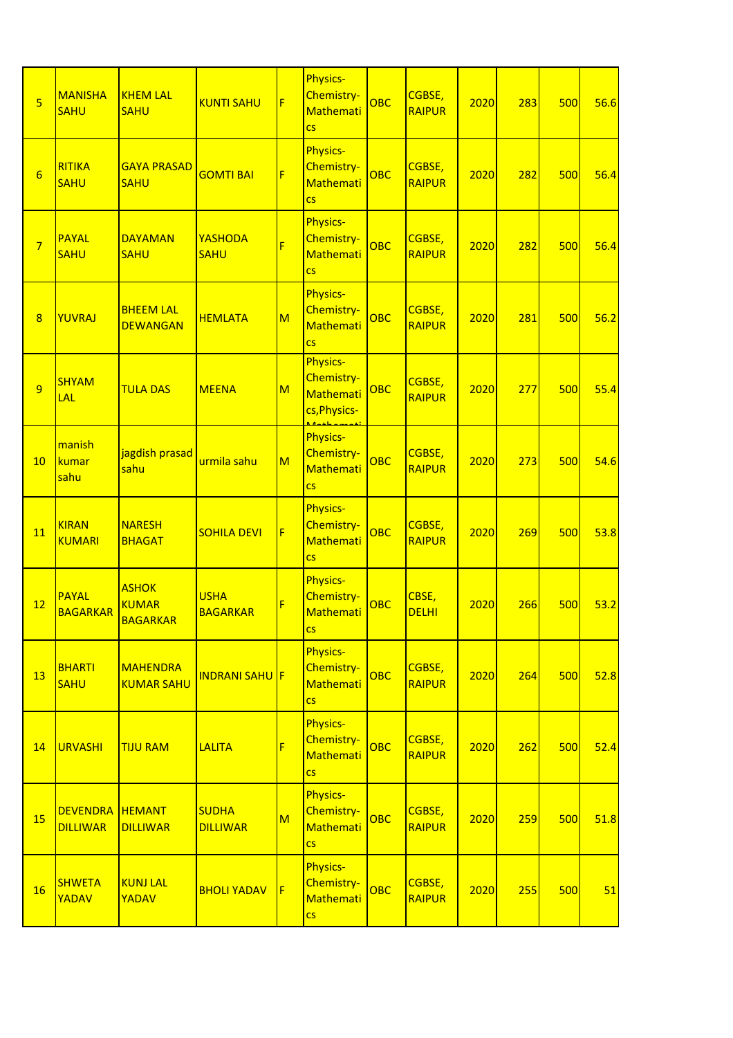| $\overline{5}$  | <b>MANISHA</b><br><b>SAHU</b>             | <b>KHEM LAL</b><br><b>SAHU</b>                  | <b>KUNTI SAHU</b>               | F                       | Physics-<br>Chemistry-<br><b>Mathemati</b><br>$\overline{\text{cs}}$        | <b>OBC</b> | CGBSE,<br><b>RAIPUR</b> | 2020 | 283 | 500 | 56.6 |
|-----------------|-------------------------------------------|-------------------------------------------------|---------------------------------|-------------------------|-----------------------------------------------------------------------------|------------|-------------------------|------|-----|-----|------|
| $6\overline{6}$ | RITIKA<br><b>SAHU</b>                     | <b>GAYA PRASAD</b><br><b>SAHU</b>               | <b>GOMTI BAI</b>                | F                       | <b>Physics-</b><br>Chemistry-<br><b>Mathemati</b><br>$\overline{\text{cs}}$ | <b>OBC</b> | CGBSE,<br><b>RAIPUR</b> | 2020 | 282 | 500 | 56.4 |
| $\overline{7}$  | <b>PAYAL</b><br><b>SAHU</b>               | <b>DAYAMAN</b><br><b>SAHU</b>                   | YASHODA<br><b>SAHU</b>          | F                       | <b>Physics-</b><br>Chemistry-<br>Mathemati<br>$\overline{\text{cs}}$        | OBC        | CGBSE,<br><b>RAIPUR</b> | 2020 | 282 | 500 | 56.4 |
| 8               | YUVRAJ                                    | <b>BHEEM LAL</b><br><b>DEWANGAN</b>             | <b>HEMLATA</b>                  | $\overline{\mathsf{M}}$ | <b>Physics-</b><br>Chemistry-<br>Mathemati<br>$\overline{\text{cs}}$        | OBC        | CGBSE,<br><b>RAIPUR</b> | 2020 | 281 | 500 | 56.2 |
| $\overline{9}$  | <b>SHYAM</b><br>LAL                       | <b>TULA DAS</b>                                 | <b>MEENA</b>                    | $\overline{\mathsf{M}}$ | <b>Physics-</b><br>Chemistry-<br><b>Mathemati</b><br>cs, Physics-           | OBC        | CGBSE,<br><b>RAIPUR</b> | 2020 | 277 | 500 | 55.4 |
| 10              | manish<br>kumar<br>sahu                   | jagdish prasad<br>sahu                          | urmila sahu                     | $\overline{\mathsf{M}}$ | <b>Physics-</b><br>Chemistry-<br>Mathemati<br>$\overline{\text{cs}}$        | <b>OBC</b> | CGBSE,<br><b>RAIPUR</b> | 2020 | 273 | 500 | 54.6 |
| 11              | <b>KIRAN</b><br><b>KUMARI</b>             | <b>NARESH</b><br><b>BHAGAT</b>                  | <b>SOHILA DEVI</b>              | F                       | <b>Physics-</b><br>Chemistry-<br><b>Mathemati</b><br>$\overline{\text{cs}}$ | OBC        | CGBSE,<br><b>RAIPUR</b> | 2020 | 269 | 500 | 53.8 |
| 12              | <b>PAYAL</b><br><b>BAGARKAR</b>           | <b>ASHOK</b><br><b>KUMAR</b><br><b>BAGARKAR</b> | <b>USHA</b><br><b>BAGARKAR</b>  | F                       | <b>Physics-</b><br>Chemistry-<br>Mathemati<br>$\overline{\text{cs}}$        | OBC        | CBSE,<br><b>DELHI</b>   | 2020 | 266 | 500 | 53.2 |
| 13              | <b>BHARTI</b><br><b>SAHU</b>              | <b>MAHENDRA</b><br><b>KUMAR SAHU</b>            | <b>INDRANI SAHU F</b>           |                         | <b>Physics-</b><br>Chemistry-<br>Mathemati<br>$\overline{\text{cs}}$        | <b>OBC</b> | CGBSE,<br><b>RAIPUR</b> | 2020 | 264 | 500 | 52.8 |
| 14              | <b>URVASHI</b>                            | <b>TIJU RAM</b>                                 | <b>LALITA</b>                   | F                       | <b>Physics-</b><br>Chemistry-<br>Mathemati<br>$\overline{\text{CS}}$        | <b>OBC</b> | CGBSE,<br><b>RAIPUR</b> | 2020 | 262 | 500 | 52.4 |
| 15              | <b>DEVENDRA HEMANT</b><br><b>DILLIWAR</b> | <b>DILLIWAR</b>                                 | <b>SUDHA</b><br><b>DILLIWAR</b> | $\overline{\mathsf{M}}$ | <b>Physics-</b><br>Chemistry-<br>Mathemati<br>$\overline{\text{CS}}$        | <b>OBC</b> | CGBSE,<br><b>RAIPUR</b> | 2020 | 259 | 500 | 51.8 |
| 16              | <b>SHWETA</b><br>YADAV                    | <b>KUNJ LAL</b><br>YADAV                        | <b>BHOLI YADAV</b>              | F                       | <b>Physics-</b><br>Chemistry-<br>Mathemati<br>$\overline{\text{CS}}$        | <b>OBC</b> | CGBSE,<br><b>RAIPUR</b> | 2020 | 255 | 500 | 51   |